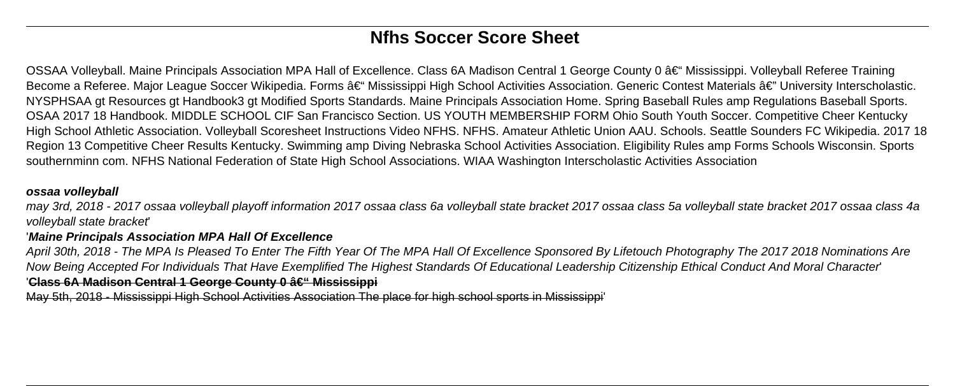# **Nfhs Soccer Score Sheet**

OSSAA Volleyball. Maine Principals Association MPA Hall of Excellence. Class 6A Madison Central 1 George County 0 – Mississippi. Volleyball Referee Training Become a Referee. Major League Soccer Wikipedia. Forms – Mississippi High School Activities Association. Generic Contest Materials â€" University Interscholastic. NYSPHSAA gt Resources gt Handbook3 gt Modified Sports Standards. Maine Principals Association Home. Spring Baseball Rules amp Regulations Baseball Sports. OSAA 2017 18 Handbook. MIDDLE SCHOOL CIF San Francisco Section. US YOUTH MEMBERSHIP FORM Ohio South Youth Soccer. Competitive Cheer Kentucky High School Athletic Association. Volleyball Scoresheet Instructions Video NFHS. NFHS. Amateur Athletic Union AAU. Schools. Seattle Sounders FC Wikipedia. 2017 18 Region 13 Competitive Cheer Results Kentucky. Swimming amp Diving Nebraska School Activities Association. Eligibility Rules amp Forms Schools Wisconsin. Sports southernminn com. NFHS National Federation of State High School Associations. WIAA Washington Interscholastic Activities Association

### **ossaa volleyball**

may 3rd, 2018 - 2017 ossaa volleyball playoff information 2017 ossaa class 6a volleyball state bracket 2017 ossaa class 5a volleyball state bracket 2017 ossaa class 4a volleyball state bracket'

## '**Maine Principals Association MPA Hall Of Excellence**

April 30th, 2018 - The MPA Is Pleased To Enter The Fifth Year Of The MPA Hall Of Excellence Sponsored By Lifetouch Photography The 2017 2018 Nominations Are Now Being Accepted For Individuals That Have Exemplified The Highest Standards Of Educational Leadership Citizenship Ethical Conduct And Moral Character' 'Class 6A Madison Central 1 George County 0 â€" Mississippi

May 5th, 2018 - Mississippi High School Activities Association The place for high school sports in Mississippi'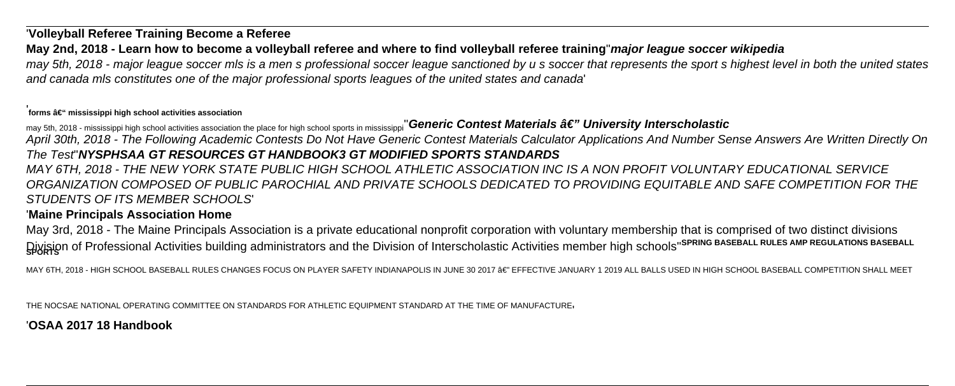## '**Volleyball Referee Training Become a Referee**

## **May 2nd, 2018 - Learn how to become a volleyball referee and where to find volleyball referee training**''**major league soccer wikipedia**

may 5th, 2018 - major league soccer mls is a men s professional soccer league sanctioned by u s soccer that represents the sport s highest level in both the united states and canada mls constitutes one of the major professional sports leagues of the united states and canada'

#### 'forms – mississippi high school activities association

may 5th, 2018 - mississippi high school activities association the place for high school sports in mississippi<sup>"</sup>Generic Contest Materials â€" University Interscholastic April 30th, 2018 - The Following Academic Contests Do Not Have Generic Contest Materials Calculator Applications And Number Sense Answers Are Written Directly On The Test''**NYSPHSAA GT RESOURCES GT HANDBOOK3 GT MODIFIED SPORTS STANDARDS**

MAY 6TH, 2018 - THE NEW YORK STATE PUBLIC HIGH SCHOOL ATHLETIC ASSOCIATION INC IS A NON PROFIT VOLUNTARY EDUCATIONAL SERVICE ORGANIZATION COMPOSED OF PUBLIC PAROCHIAL AND PRIVATE SCHOOLS DEDICATED TO PROVIDING EQUITABLE AND SAFE COMPETITION FOR THE STUDENTS OF ITS MEMBER SCHOOLS'

## '**Maine Principals Association Home**

May 3rd, 2018 - The Maine Principals Association is a private educational nonprofit corporation with voluntary membership that is comprised of two distinct divisions **Divisio**n of Professional Activities building administrators and the Division of Interscholastic Activities member high schools''<sup>SPRING BASEBALL RULES AMP REGULATIONS BASEBALL</sup>

MAY 6TH, 2018 - HIGH SCHOOL BASEBALL RULES CHANGES FOCUS ON PLAYER SAFETY INDIANAPOLIS IN JUNE 30 2017 â€" EFFECTIVE JANUARY 1 2019 ALL BALLS USED IN HIGH SCHOOL BASEBALL COMPETITION SHALL MEET

THE NOCSAE NATIONAL OPERATING COMMITTEE ON STANDARDS FOR ATHLETIC EQUIPMENT STANDARD AT THE TIME OF MANUFACTURE'

## '**OSAA 2017 18 Handbook**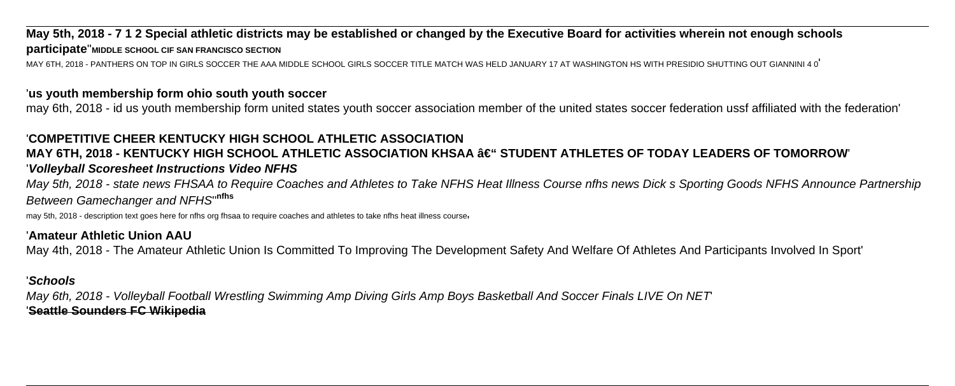## **May 5th, 2018 - 7 1 2 Special athletic districts may be established or changed by the Executive Board for activities wherein not enough schools participate**''**MIDDLE SCHOOL CIF SAN FRANCISCO SECTION**

MAY 6TH, 2018 - PANTHERS ON TOP IN GIRLS SOCCER THE AAA MIDDLE SCHOOL GIRLS SOCCER TITLE MATCH WAS HELD JANUARY 17 AT WASHINGTON HS WITH PRESIDIO SHUTTING OUT GIANNINI 4 0'

### '**us youth membership form ohio south youth soccer**

may 6th, 2018 - id us youth membership form united states youth soccer association member of the united states soccer federation ussf affiliated with the federation'

## '**COMPETITIVE CHEER KENTUCKY HIGH SCHOOL ATHLETIC ASSOCIATION**

## **MAY 6TH, 2018 - KENTUCKY HIGH SCHOOL ATHLETIC ASSOCIATION KHSAA – STUDENT ATHLETES OF TODAY LEADERS OF TOMORROW** '**Volleyball Scoresheet Instructions Video NFHS**

May 5th, 2018 - state news FHSAA to Require Coaches and Athletes to Take NFHS Heat Illness Course nfhs news Dick s Sporting Goods NFHS Announce Partnership Between Gamechanger and NFHS''**nfhs**

may 5th, 2018 - description text goes here for nfhs org fhsaa to require coaches and athletes to take nfhs heat illness course'

## '**Amateur Athletic Union AAU**

May 4th, 2018 - The Amateur Athletic Union Is Committed To Improving The Development Safety And Welfare Of Athletes And Participants Involved In Sport'

#### '**Schools**

May 6th, 2018 - Volleyball Football Wrestling Swimming Amp Diving Girls Amp Boys Basketball And Soccer Finals LIVE On NET' '**Seattle Sounders FC Wikipedia**